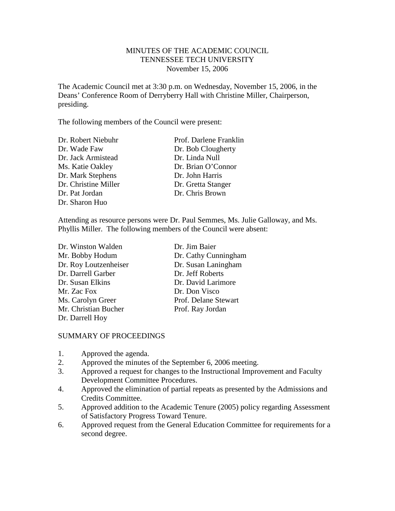# MINUTES OF THE ACADEMIC COUNCIL TENNESSEE TECH UNIVERSITY November 15, 2006

The Academic Council met at 3:30 p.m. on Wednesday, November 15, 2006, in the Deans' Conference Room of Derryberry Hall with Christine Miller, Chairperson, presiding.

The following members of the Council were present:

| Dr. Bob Clougherty |
|--------------------|
|                    |
| Dr. Linda Null     |
| Dr. Brian O'Connor |
| Dr. John Harris    |
| Dr. Gretta Stanger |
| Dr. Chris Brown    |
|                    |
|                    |

Attending as resource persons were Dr. Paul Semmes, Ms. Julie Galloway, and Ms. Phyllis Miller. The following members of the Council were absent:

| Dr. Winston Walden    | Dr. Jim Baier        |
|-----------------------|----------------------|
| Mr. Bobby Hodum       | Dr. Cathy Cunningham |
| Dr. Roy Loutzenheiser | Dr. Susan Laningham  |
| Dr. Darrell Garber    | Dr. Jeff Roberts     |
| Dr. Susan Elkins      | Dr. David Larimore   |
| Mr. Zac Fox           | Dr. Don Visco        |
| Ms. Carolyn Greer     | Prof. Delane Stewart |
| Mr. Christian Bucher  | Prof. Ray Jordan     |
| Dr. Darrell Hoy       |                      |

## SUMMARY OF PROCEEDINGS

- 1. Approved the agenda.
- 2. Approved the minutes of the September 6, 2006 meeting.
- 3. Approved a request for changes to the Instructional Improvement and Faculty Development Committee Procedures.
- 4. Approved the elimination of partial repeats as presented by the Admissions and Credits Committee.
- 5. Approved addition to the Academic Tenure (2005) policy regarding Assessment of Satisfactory Progress Toward Tenure.
- 6. Approved request from the General Education Committee for requirements for a second degree.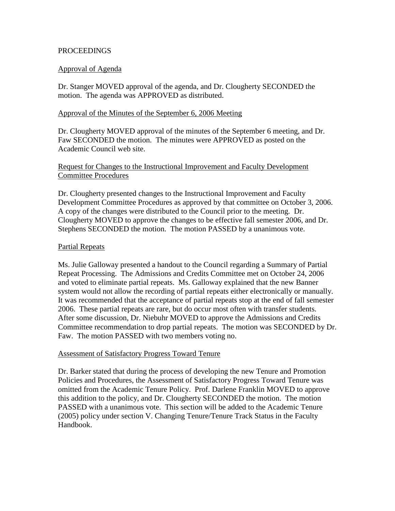### **PROCEEDINGS**

### Approval of Agenda

Dr. Stanger MOVED approval of the agenda, and Dr. Clougherty SECONDED the motion. The agenda was APPROVED as distributed.

### Approval of the Minutes of the September 6, 2006 Meeting

Dr. Clougherty MOVED approval of the minutes of the September 6 meeting, and Dr. Faw SECONDED the motion. The minutes were APPROVED as posted on the Academic Council web site.

# Request for Changes to the Instructional Improvement and Faculty Development Committee Procedures

Dr. Clougherty presented changes to the Instructional Improvement and Faculty Development Committee Procedures as approved by that committee on October 3, 2006. A copy of the changes were distributed to the Council prior to the meeting. Dr. Clougherty MOVED to approve the changes to be effective fall semester 2006, and Dr. Stephens SECONDED the motion. The motion PASSED by a unanimous vote.

### Partial Repeats

Ms. Julie Galloway presented a handout to the Council regarding a Summary of Partial Repeat Processing. The Admissions and Credits Committee met on October 24, 2006 and voted to eliminate partial repeats. Ms. Galloway explained that the new Banner system would not allow the recording of partial repeats either electronically or manually. It was recommended that the acceptance of partial repeats stop at the end of fall semester 2006. These partial repeats are rare, but do occur most often with transfer students. After some discussion, Dr. Niebuhr MOVED to approve the Admissions and Credits Committee recommendation to drop partial repeats. The motion was SECONDED by Dr. Faw. The motion PASSED with two members voting no.

## Assessment of Satisfactory Progress Toward Tenure

Dr. Barker stated that during the process of developing the new Tenure and Promotion Policies and Procedures, the Assessment of Satisfactory Progress Toward Tenure was omitted from the Academic Tenure Policy. Prof. Darlene Franklin MOVED to approve this addition to the policy, and Dr. Clougherty SECONDED the motion. The motion PASSED with a unanimous vote. This section will be added to the Academic Tenure (2005) policy under section V. Changing Tenure/Tenure Track Status in the Faculty Handbook.